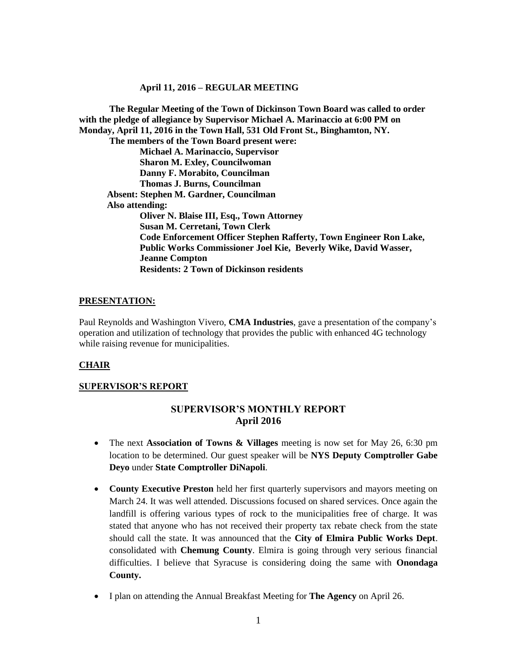**The Regular Meeting of the Town of Dickinson Town Board was called to order with the pledge of allegiance by Supervisor Michael A. Marinaccio at 6:00 PM on Monday, April 11, 2016 in the Town Hall, 531 Old Front St., Binghamton, NY. The members of the Town Board present were: Michael A. Marinaccio, Supervisor Sharon M. Exley, Councilwoman Danny F. Morabito, Councilman Thomas J. Burns, Councilman Absent: Stephen M. Gardner, Councilman Also attending: Oliver N. Blaise III, Esq., Town Attorney Susan M. Cerretani, Town Clerk Code Enforcement Officer Stephen Rafferty, Town Engineer Ron Lake, Public Works Commissioner Joel Kie, Beverly Wike, David Wasser, Jeanne Compton Residents: 2 Town of Dickinson residents**

#### **PRESENTATION:**

Paul Reynolds and Washington Vivero, **CMA Industries**, gave a presentation of the company's operation and utilization of technology that provides the public with enhanced 4G technology while raising revenue for municipalities.

#### **CHAIR**

#### **SUPERVISOR'S REPORT**

# **SUPERVISOR'S MONTHLY REPORT April 2016**

- The next **Association of Towns & Villages** meeting is now set for May 26, 6:30 pm location to be determined. Our guest speaker will be **NYS Deputy Comptroller Gabe Deyo** under **State Comptroller DiNapoli**.
- **County Executive Preston** held her first quarterly supervisors and mayors meeting on March 24. It was well attended. Discussions focused on shared services. Once again the landfill is offering various types of rock to the municipalities free of charge. It was stated that anyone who has not received their property tax rebate check from the state should call the state. It was announced that the **City of Elmira Public Works Dept**. consolidated with **Chemung County**. Elmira is going through very serious financial difficulties. I believe that Syracuse is considering doing the same with **Onondaga County.**
- I plan on attending the Annual Breakfast Meeting for **The Agency** on April 26.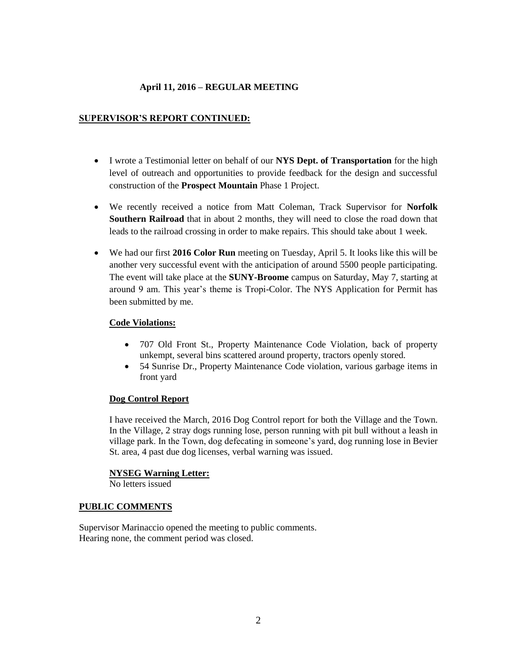# **SUPERVISOR'S REPORT CONTINUED:**

- I wrote a Testimonial letter on behalf of our **NYS Dept. of Transportation** for the high level of outreach and opportunities to provide feedback for the design and successful construction of the **Prospect Mountain** Phase 1 Project.
- We recently received a notice from Matt Coleman, Track Supervisor for **Norfolk Southern Railroad** that in about 2 months, they will need to close the road down that leads to the railroad crossing in order to make repairs. This should take about 1 week.
- We had our first **2016 Color Run** meeting on Tuesday, April 5. It looks like this will be another very successful event with the anticipation of around 5500 people participating. The event will take place at the **SUNY-Broome** campus on Saturday, May 7, starting at around 9 am. This year's theme is Tropi-Color. The NYS Application for Permit has been submitted by me.

# **Code Violations:**

- 707 Old Front St., Property Maintenance Code Violation, back of property unkempt, several bins scattered around property, tractors openly stored.
- 54 Sunrise Dr., Property Maintenance Code violation, various garbage items in front yard

# **Dog Control Report**

I have received the March, 2016 Dog Control report for both the Village and the Town. In the Village, 2 stray dogs running lose, person running with pit bull without a leash in village park. In the Town, dog defecating in someone's yard, dog running lose in Bevier St. area, 4 past due dog licenses, verbal warning was issued.

# **NYSEG Warning Letter:**

No letters issued

# **PUBLIC COMMENTS**

Supervisor Marinaccio opened the meeting to public comments. Hearing none, the comment period was closed.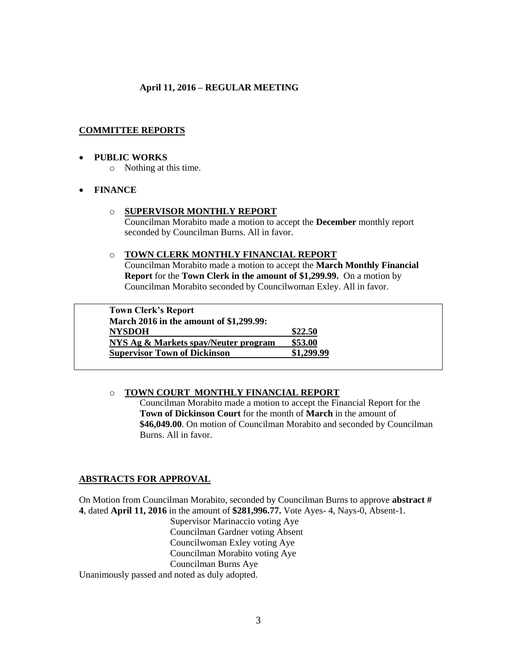# **COMMITTEE REPORTS**

### **PUBLIC WORKS**

o Nothing at this time.

# **FINANCE**

### o **SUPERVISOR MONTHLY REPORT**

Councilman Morabito made a motion to accept the **December** monthly report seconded by Councilman Burns. All in favor.

### o **TOWN CLERK MONTHLY FINANCIAL REPORT**

Councilman Morabito made a motion to accept the **March Monthly Financial Report** for the **Town Clerk in the amount of \$1,299.99.** On a motion by Councilman Morabito seconded by Councilwoman Exley. All in favor.

**Town Clerk's Report March 2016 in the amount of \$1,299.99: NYSDOH \$22.50 NYS Ag & Markets spay/Neuter program \$53.00 Supervisor Town of Dickinson** 

# o **TOWN COURT MONTHLY FINANCIAL REPORT**

Councilman Morabito made a motion to accept the Financial Report for the **Town of Dickinson Court** for the month of **March** in the amount of **\$46,049.00**. On motion of Councilman Morabito and seconded by Councilman Burns. All in favor.

# **ABSTRACTS FOR APPROVAL**

On Motion from Councilman Morabito, seconded by Councilman Burns to approve **abstract # 4**, dated **April 11, 2016** in the amount of **\$281,996.77.** Vote Ayes- 4, Nays-0, Absent-1.

Supervisor Marinaccio voting Aye Councilman Gardner voting Absent Councilwoman Exley voting Aye Councilman Morabito voting Aye Councilman Burns Aye

Unanimously passed and noted as duly adopted.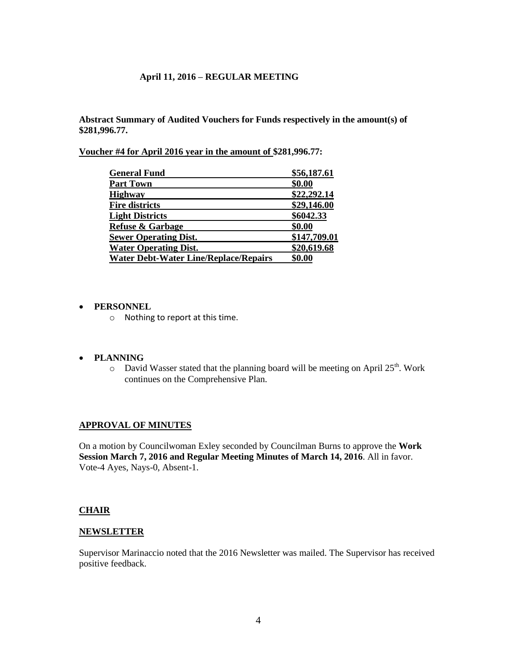**Abstract Summary of Audited Vouchers for Funds respectively in the amount(s) of \$281,996.77.** 

**Voucher #4 for April 2016 year in the amount of \$281,996.77:** 

| <b>General Fund</b>                          | \$56,187.61  |
|----------------------------------------------|--------------|
| <b>Part Town</b>                             | \$0.00       |
| <b>Highway</b>                               | \$22,292.14  |
| <b>Fire districts</b>                        | \$29,146.00  |
| <b>Light Districts</b>                       | \$6042.33    |
| <b>Refuse &amp; Garbage</b>                  | \$0.00       |
| <b>Sewer Operating Dist.</b>                 | \$147,709.01 |
| <b>Water Operating Dist.</b>                 | \$20,619.68  |
| <b>Water Debt-Water Line/Replace/Repairs</b> | \$0.00       |

### **PERSONNEL**

o Nothing to report at this time.

### **PLANNING**

 $\circ$  David Wasser stated that the planning board will be meeting on April 25<sup>th</sup>. Work continues on the Comprehensive Plan.

### **APPROVAL OF MINUTES**

On a motion by Councilwoman Exley seconded by Councilman Burns to approve the **Work Session March 7, 2016 and Regular Meeting Minutes of March 14, 2016**. All in favor. Vote-4 Ayes, Nays-0, Absent-1.

### **CHAIR**

#### **NEWSLETTER**

Supervisor Marinaccio noted that the 2016 Newsletter was mailed. The Supervisor has received positive feedback.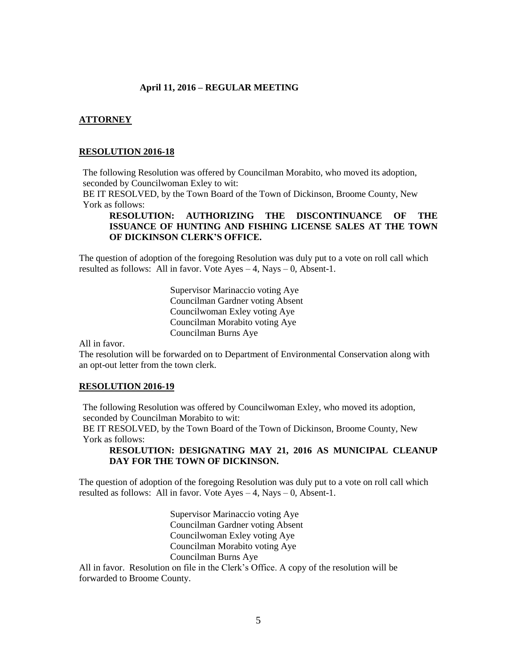#### **ATTORNEY**

# **RESOLUTION 2016-18**

The following Resolution was offered by Councilman Morabito, who moved its adoption, seconded by Councilwoman Exley to wit:

BE IT RESOLVED, by the Town Board of the Town of Dickinson, Broome County, New York as follows:

# **RESOLUTION: AUTHORIZING THE DISCONTINUANCE OF THE ISSUANCE OF HUNTING AND FISHING LICENSE SALES AT THE TOWN OF DICKINSON CLERK'S OFFICE.**

The question of adoption of the foregoing Resolution was duly put to a vote on roll call which resulted as follows: All in favor. Vote Ayes – 4, Nays – 0, Absent-1.

> Supervisor Marinaccio voting Aye Councilman Gardner voting Absent Councilwoman Exley voting Aye Councilman Morabito voting Aye Councilman Burns Aye

All in favor.

The resolution will be forwarded on to Department of Environmental Conservation along with an opt-out letter from the town clerk.

#### **RESOLUTION 2016-19**

The following Resolution was offered by Councilwoman Exley, who moved its adoption, seconded by Councilman Morabito to wit:

BE IT RESOLVED, by the Town Board of the Town of Dickinson, Broome County, New York as follows:

# **RESOLUTION: DESIGNATING MAY 21, 2016 AS MUNICIPAL CLEANUP DAY FOR THE TOWN OF DICKINSON.**

The question of adoption of the foregoing Resolution was duly put to a vote on roll call which resulted as follows: All in favor. Vote  $Ayes - 4$ , Nays – 0, Absent-1.

> Supervisor Marinaccio voting Aye Councilman Gardner voting Absent Councilwoman Exley voting Aye Councilman Morabito voting Aye Councilman Burns Aye

All in favor. Resolution on file in the Clerk's Office. A copy of the resolution will be forwarded to Broome County.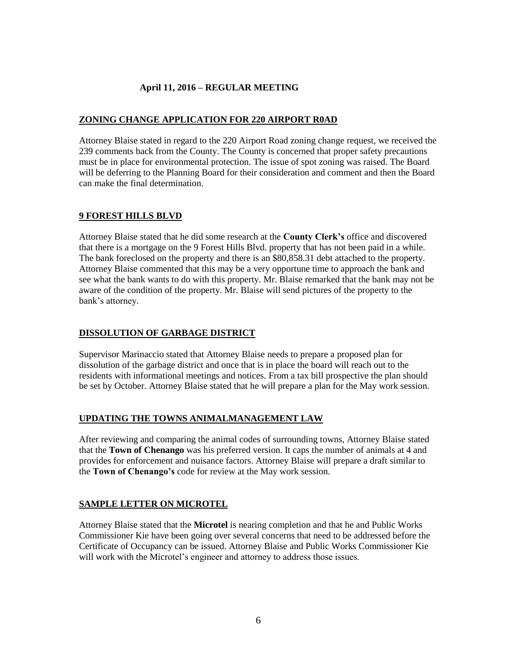# **ZONING CHANGE APPLICATION FOR 220 AIRPORT R0AD**

Attorney Blaise stated in regard to the 220 Airport Road zoning change request, we received the 239 comments back from the County. The County is concerned that proper safety precautions must be in place for environmental protection. The issue of spot zoning was raised. The Board will be deferring to the Planning Board for their consideration and comment and then the Board can make the final determination.

# **9 FOREST HILLS BLVD**

Attorney Blaise stated that he did some research at the **County Clerk's** office and discovered that there is a mortgage on the 9 Forest Hills Blvd. property that has not been paid in a while. The bank foreclosed on the property and there is an \$80,858.31 debt attached to the property. Attorney Blaise commented that this may be a very opportune time to approach the bank and see what the bank wants to do with this property. Mr. Blaise remarked that the bank may not be aware of the condition of the property. Mr. Blaise will send pictures of the property to the bank's attorney.

# **DISSOLUTION OF GARBAGE DISTRICT**

Supervisor Marinaccio stated that Attorney Blaise needs to prepare a proposed plan for dissolution of the garbage district and once that is in place the board will reach out to the residents with informational meetings and notices. From a tax bill prospective the plan should be set by October. Attorney Blaise stated that he will prepare a plan for the May work session.

# **UPDATING THE TOWNS ANIMALMANAGEMENT LAW**

After reviewing and comparing the animal codes of surrounding towns, Attorney Blaise stated that the **Town of Chenango** was his preferred version. It caps the number of animals at 4 and provides for enforcement and nuisance factors. Attorney Blaise will prepare a draft similar to the **Town of Chenango's** code for review at the May work session.

# **SAMPLE LETTER ON MICROTEL**

Attorney Blaise stated that the **Microtel** is nearing completion and that he and Public Works Commissioner Kie have been going over several concerns that need to be addressed before the Certificate of Occupancy can be issued. Attorney Blaise and Public Works Commissioner Kie will work with the Microtel's engineer and attorney to address those issues.